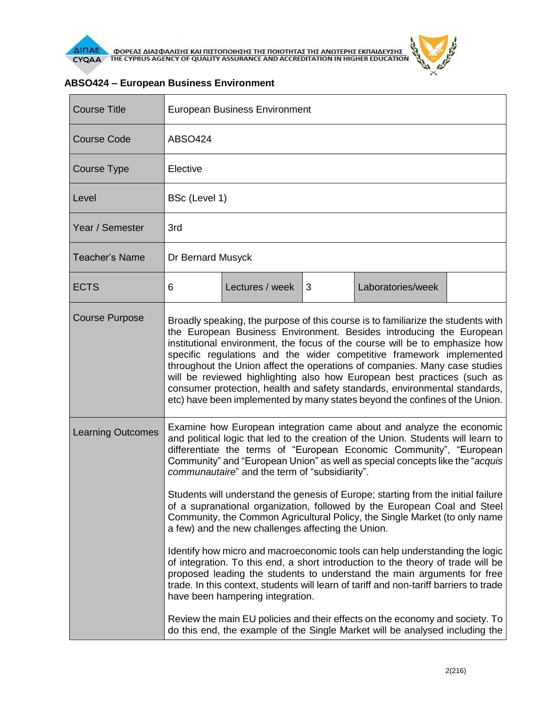

| <b>Course Title</b>      | <b>European Business Environment</b>                                                                                                                                                                                                                                                                                                                                                                                                                                                                                                                                                                                                                                                                                                                                                                                                                                                                                                                                                                                                                                                                                                                                                                                |                 |   |                   |  |  |
|--------------------------|---------------------------------------------------------------------------------------------------------------------------------------------------------------------------------------------------------------------------------------------------------------------------------------------------------------------------------------------------------------------------------------------------------------------------------------------------------------------------------------------------------------------------------------------------------------------------------------------------------------------------------------------------------------------------------------------------------------------------------------------------------------------------------------------------------------------------------------------------------------------------------------------------------------------------------------------------------------------------------------------------------------------------------------------------------------------------------------------------------------------------------------------------------------------------------------------------------------------|-----------------|---|-------------------|--|--|
| <b>Course Code</b>       | <b>ABSO424</b>                                                                                                                                                                                                                                                                                                                                                                                                                                                                                                                                                                                                                                                                                                                                                                                                                                                                                                                                                                                                                                                                                                                                                                                                      |                 |   |                   |  |  |
| Course Type              | Elective                                                                                                                                                                                                                                                                                                                                                                                                                                                                                                                                                                                                                                                                                                                                                                                                                                                                                                                                                                                                                                                                                                                                                                                                            |                 |   |                   |  |  |
| Level                    | BSc (Level 1)                                                                                                                                                                                                                                                                                                                                                                                                                                                                                                                                                                                                                                                                                                                                                                                                                                                                                                                                                                                                                                                                                                                                                                                                       |                 |   |                   |  |  |
| Year / Semester          | 3rd                                                                                                                                                                                                                                                                                                                                                                                                                                                                                                                                                                                                                                                                                                                                                                                                                                                                                                                                                                                                                                                                                                                                                                                                                 |                 |   |                   |  |  |
| <b>Teacher's Name</b>    | Dr Bernard Musyck                                                                                                                                                                                                                                                                                                                                                                                                                                                                                                                                                                                                                                                                                                                                                                                                                                                                                                                                                                                                                                                                                                                                                                                                   |                 |   |                   |  |  |
| <b>ECTS</b>              | 6                                                                                                                                                                                                                                                                                                                                                                                                                                                                                                                                                                                                                                                                                                                                                                                                                                                                                                                                                                                                                                                                                                                                                                                                                   | Lectures / week | 3 | Laboratories/week |  |  |
| <b>Course Purpose</b>    | Broadly speaking, the purpose of this course is to familiarize the students with<br>the European Business Environment. Besides introducing the European<br>institutional environment, the focus of the course will be to emphasize how<br>specific regulations and the wider competitive framework implemented<br>throughout the Union affect the operations of companies. Many case studies<br>will be reviewed highlighting also how European best practices (such as<br>consumer protection, health and safety standards, environmental standards,<br>etc) have been implemented by many states beyond the confines of the Union.                                                                                                                                                                                                                                                                                                                                                                                                                                                                                                                                                                                |                 |   |                   |  |  |
| <b>Learning Outcomes</b> | Examine how European integration came about and analyze the economic<br>and political logic that led to the creation of the Union. Students will learn to<br>differentiate the terms of "European Economic Community", "European<br>Community" and "European Union" as well as special concepts like the "acquis<br>communautaire" and the term of "subsidiarity".<br>Students will understand the genesis of Europe; starting from the initial failure<br>of a supranational organization, followed by the European Coal and Steel<br>Community, the Common Agricultural Policy, the Single Market (to only name<br>a few) and the new challenges affecting the Union.<br>Identify how micro and macroeconomic tools can help understanding the logic<br>of integration. To this end, a short introduction to the theory of trade will be<br>proposed leading the students to understand the main arguments for free<br>trade. In this context, students will learn of tariff and non-tariff barriers to trade<br>have been hampering integration.<br>Review the main EU policies and their effects on the economy and society. To<br>do this end, the example of the Single Market will be analysed including the |                 |   |                   |  |  |

## **ABSO424 – European Business Environment**

 $\theta$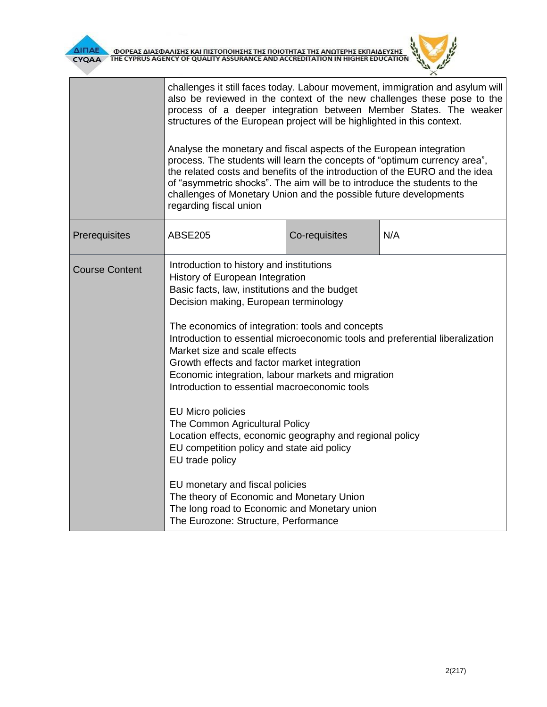



|                       | challenges it still faces today. Labour movement, immigration and asylum will<br>also be reviewed in the context of the new challenges these pose to the<br>process of a deeper integration between Member States. The weaker<br>structures of the European project will be highlighted in this context.<br>Analyse the monetary and fiscal aspects of the European integration<br>process. The students will learn the concepts of "optimum currency area",<br>the related costs and benefits of the introduction of the EURO and the idea<br>of "asymmetric shocks". The aim will be to introduce the students to the<br>challenges of Monetary Union and the possible future developments<br>regarding fiscal union                                                                                                                                                |               |     |  |  |  |
|-----------------------|-----------------------------------------------------------------------------------------------------------------------------------------------------------------------------------------------------------------------------------------------------------------------------------------------------------------------------------------------------------------------------------------------------------------------------------------------------------------------------------------------------------------------------------------------------------------------------------------------------------------------------------------------------------------------------------------------------------------------------------------------------------------------------------------------------------------------------------------------------------------------|---------------|-----|--|--|--|
| Prerequisites         | <b>ABSE205</b>                                                                                                                                                                                                                                                                                                                                                                                                                                                                                                                                                                                                                                                                                                                                                                                                                                                        | Co-requisites | N/A |  |  |  |
| <b>Course Content</b> | Introduction to history and institutions<br>History of European Integration<br>Basic facts, law, institutions and the budget<br>Decision making, European terminology<br>The economics of integration: tools and concepts<br>Introduction to essential microeconomic tools and preferential liberalization<br>Market size and scale effects<br>Growth effects and factor market integration<br>Economic integration, labour markets and migration<br>Introduction to essential macroeconomic tools<br><b>EU Micro policies</b><br>The Common Agricultural Policy<br>Location effects, economic geography and regional policy<br>EU competition policy and state aid policy<br>EU trade policy<br>EU monetary and fiscal policies<br>The theory of Economic and Monetary Union<br>The long road to Economic and Monetary union<br>The Eurozone: Structure, Performance |               |     |  |  |  |